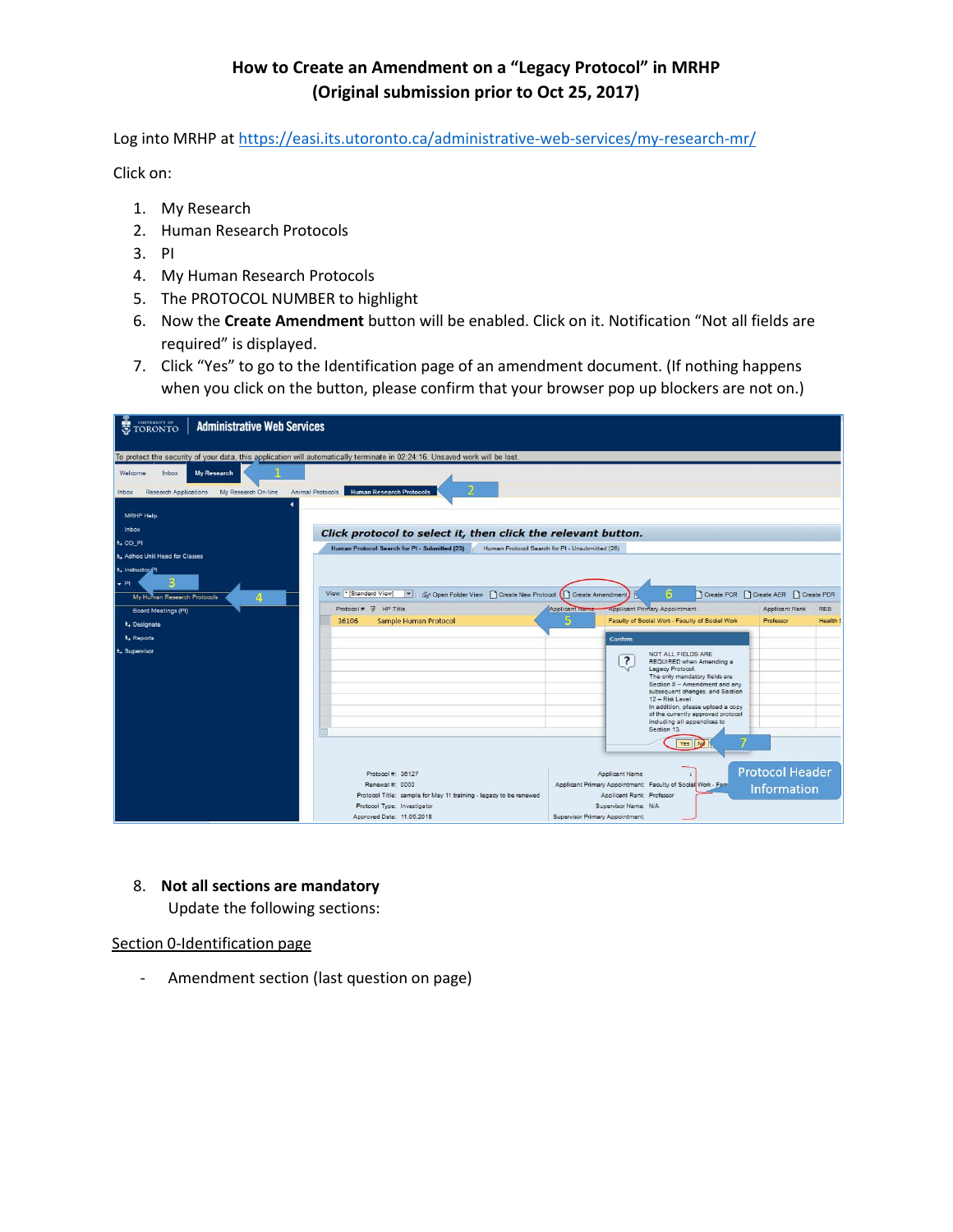# **How to Create an Amendment on a "Legacy Protocol" in MRHP (Original submission prior to Oct 25, 2017)**

Log into MRHP at <https://easi.its.utoronto.ca/administrative-web-services/my-research-mr/>

Click on:

- 1. My Research
- 2. Human Research Protocols
- 3. PI
- 4. My Human Research Protocols
- 5. The PROTOCOL NUMBER to highlight
- 6. Now the **Create Amendment** button will be enabled. Click on it. Notification "Not all fields are required" is displayed.
- 7. Click "Yes" to go to the Identification page of an amendment document. (If nothing happens when you click on the button, please confirm that your browser pop up blockers are not on.)

| TORONTO<br><b>Administrative Web Services</b>                                                                               |                                                                                                  |                                                              |                                                                   |            |  |  |  |  |  |
|-----------------------------------------------------------------------------------------------------------------------------|--------------------------------------------------------------------------------------------------|--------------------------------------------------------------|-------------------------------------------------------------------|------------|--|--|--|--|--|
| To protect the security of your data, this application will automatically terminate in 02:24:16. Unsaved work will be lost. |                                                                                                  |                                                              |                                                                   |            |  |  |  |  |  |
|                                                                                                                             |                                                                                                  |                                                              |                                                                   |            |  |  |  |  |  |
| <b>My Research</b><br>Welcome<br>Inbox                                                                                      |                                                                                                  |                                                              |                                                                   |            |  |  |  |  |  |
| Animal Protocols<br>Research Applications<br>My Research On-line<br>Inbox                                                   | <b>Human Research Protocols</b>                                                                  |                                                              |                                                                   |            |  |  |  |  |  |
|                                                                                                                             |                                                                                                  |                                                              |                                                                   |            |  |  |  |  |  |
| <b>MRHP Help</b>                                                                                                            |                                                                                                  |                                                              |                                                                   |            |  |  |  |  |  |
| Inbox                                                                                                                       | Click protocol to select it, then click the relevant button.                                     |                                                              |                                                                   |            |  |  |  |  |  |
| L CO_PI                                                                                                                     | Human Protocol Search for PI - Submitted (23)<br>Human Protocol Search for PI - Unsubmitted (26) |                                                              |                                                                   |            |  |  |  |  |  |
| <b>IL</b> Adhoc Unit Head for Classes                                                                                       |                                                                                                  |                                                              |                                                                   |            |  |  |  |  |  |
| k <sub>+</sub> Instructor <sup>21</sup>                                                                                     |                                                                                                  |                                                              |                                                                   |            |  |  |  |  |  |
| B<br>$+$ PI                                                                                                                 |                                                                                                  |                                                              |                                                                   |            |  |  |  |  |  |
| My Human Research Protocols<br>4                                                                                            | View: * [Standard View]<br>$\blacksquare$                                                        | Gr Open Folder View Create New Protocol (C) Create Amendment | 6<br>Create PCR   Create AER   Create PDR                         |            |  |  |  |  |  |
| Board Meetings (PI)                                                                                                         | $Protocol #$ $\frac{1}{2}$ HP Title                                                              | <b>Applicant Name</b>                                        | <b>Applicant Primary Appointment</b><br>Applicant Rank            | <b>REB</b> |  |  |  |  |  |
| k, Designate                                                                                                                | 36106<br><b>Sample Human Protocol</b>                                                            |                                                              | Faculty of Social Work - Faculty of Social Work<br>Professor      | Health     |  |  |  |  |  |
| <b>N.</b> Reports                                                                                                           |                                                                                                  | Confirm                                                      |                                                                   |            |  |  |  |  |  |
| <b>k</b> , Supervisor                                                                                                       |                                                                                                  |                                                              | NOT ALL FIELDS ARE                                                |            |  |  |  |  |  |
|                                                                                                                             |                                                                                                  | $\overline{\mathbf{?}}$                                      | REQUIRED when Amending a<br>Legacy Protocol.                      |            |  |  |  |  |  |
|                                                                                                                             |                                                                                                  |                                                              | The only mandatory fields are<br>Section 0 - Amendment and any    |            |  |  |  |  |  |
|                                                                                                                             |                                                                                                  |                                                              | subsequent changes, and Section                                   |            |  |  |  |  |  |
|                                                                                                                             |                                                                                                  |                                                              | 12 - Risk Level.<br>In addition, please upload a copy             |            |  |  |  |  |  |
|                                                                                                                             |                                                                                                  |                                                              | of the currently approved protocol<br>including all appendices to |            |  |  |  |  |  |
|                                                                                                                             |                                                                                                  |                                                              | Section 13.                                                       |            |  |  |  |  |  |
|                                                                                                                             |                                                                                                  |                                                              | Yes                                                               |            |  |  |  |  |  |
|                                                                                                                             |                                                                                                  |                                                              |                                                                   |            |  |  |  |  |  |
|                                                                                                                             | Protocol #: 36127                                                                                | Applicant Name                                               | <b>Protocol Header</b>                                            |            |  |  |  |  |  |
|                                                                                                                             | Renewal #: 0000                                                                                  | Applicant Primary Appointment: Faculty of Social Work - Fac  | <b>Information</b>                                                |            |  |  |  |  |  |
|                                                                                                                             | Protocol Title: sample for May 11 training - legacy to be renewed                                | Applicant Rank: Professor                                    |                                                                   |            |  |  |  |  |  |
|                                                                                                                             | Protocol Type: Investigator                                                                      | Supervisor Name: N/A                                         |                                                                   |            |  |  |  |  |  |
|                                                                                                                             | Approved Date: 11.05.2018                                                                        | Supervisor Primary Appointment:                              |                                                                   |            |  |  |  |  |  |

### 8. **Not all sections are mandatory**

Update the following sections:

Section 0-Identification page

- Amendment section (last question on page)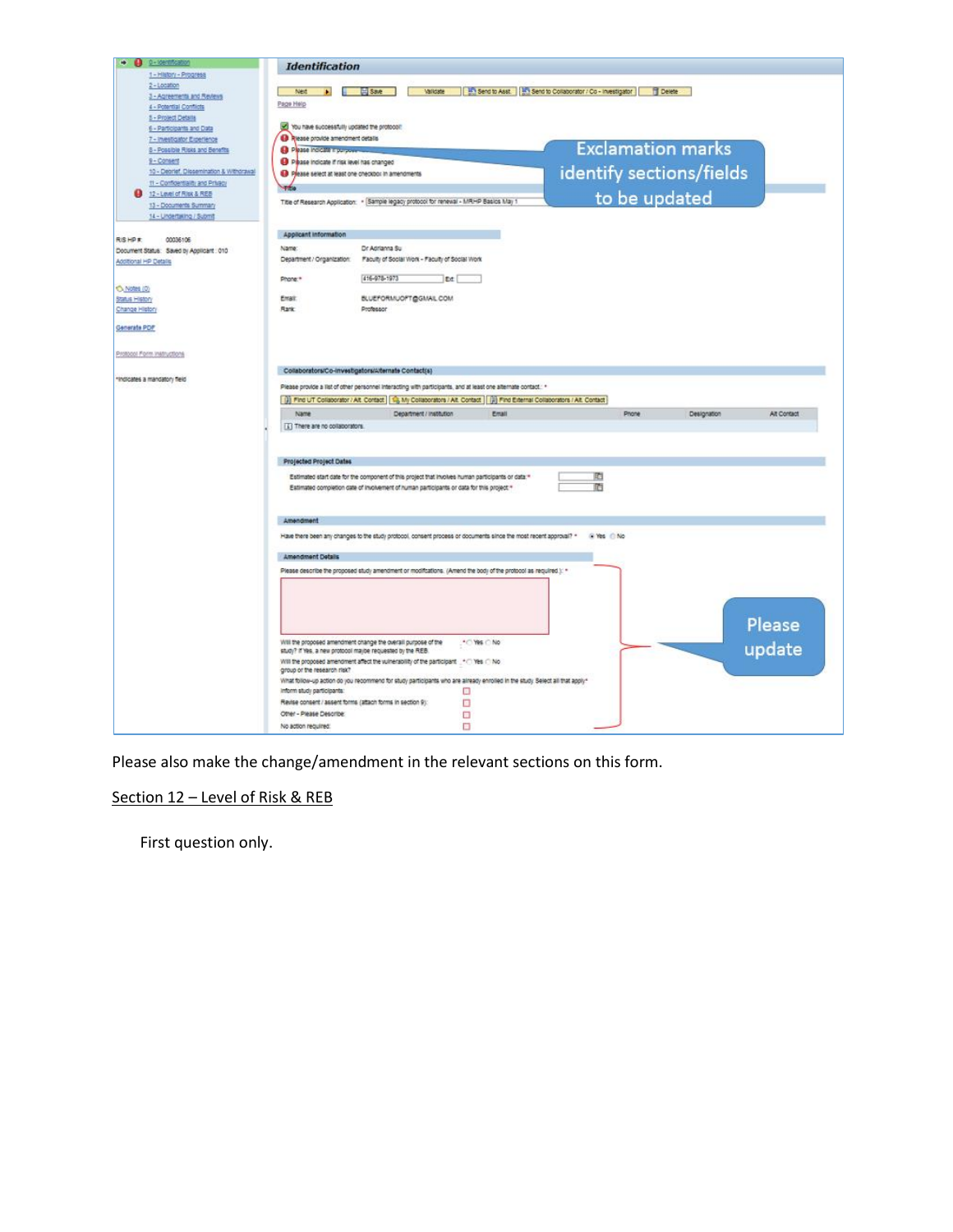

Please also make the change/amendment in the relevant sections on this form.

### Section 12 - Level of Risk & REB

First question only.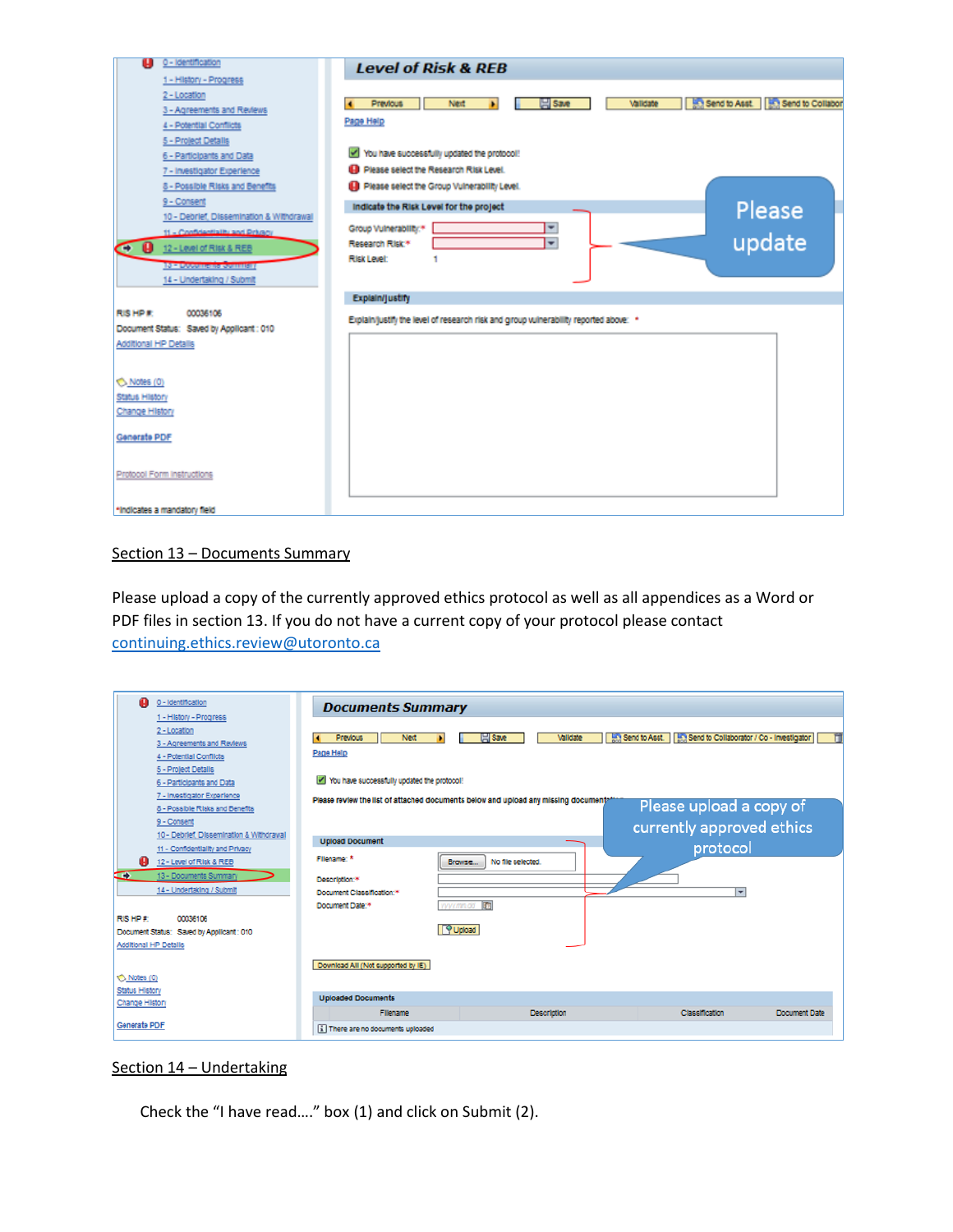

#### Section 13 – Documents Summary

Please upload a copy of the currently approved ethics protocol as well as all appendices as a Word or PDF files in section 13. If you do not have a current copy of your protocol please contact [continuing.ethics.review@utoronto.ca](mailto:continuing.ethics.review@utoronto.ca)

| 0 - Identification<br>A                   | <b>Documents Summary</b>                                                              |                         |                                                               |               |  |  |
|-------------------------------------------|---------------------------------------------------------------------------------------|-------------------------|---------------------------------------------------------------|---------------|--|--|
| 1 - History - Progress                    |                                                                                       |                         |                                                               |               |  |  |
| 2 - Location                              |                                                                                       |                         |                                                               |               |  |  |
| 3 - Agreements and Reviews                | <b>Previous</b><br>Next                                                               | <b>Save</b><br>Validate | Send to Asst.   1999 Send to Collaborator / Co - Investigator |               |  |  |
| 4 - Potential Conflicts                   | Page Help                                                                             |                         |                                                               |               |  |  |
| 5 - Project Details                       |                                                                                       |                         |                                                               |               |  |  |
| 6 - Participants and Data                 | You have successfully updated the protocol!                                           |                         |                                                               |               |  |  |
| 7 - Investigator Experience               | Please review the list of attached documents below and upload any missing documentati |                         |                                                               |               |  |  |
| 8 - Possible Risks and Benefits           |                                                                                       |                         | Please upload a copy of                                       |               |  |  |
| 9 - Consent                               |                                                                                       |                         | currently approved ethics                                     |               |  |  |
| 10 - Debrief, Dissemination & Withdrawal  | <b>Upload Document</b>                                                                |                         |                                                               |               |  |  |
| 11 - Confidentiality and Privacy          |                                                                                       |                         | protocol                                                      |               |  |  |
| 12 - Level of Risk & REB<br>o             | Filename: *<br>Browse                                                                 | No file selected.       |                                                               |               |  |  |
| 13 - Documents Summary<br>$\rightarrow$   | Description:*                                                                         |                         |                                                               |               |  |  |
| 14 - Undertaking / Submit                 | Document Classification:*                                                             |                         | $\overline{\mathbf{v}}$                                       |               |  |  |
|                                           | www.mm.dd <b>m</b><br>Document Date:*                                                 |                         |                                                               |               |  |  |
| <b>RISHP#</b><br>00036106                 |                                                                                       |                         |                                                               |               |  |  |
| Document Status: Saved by Applicant : 010 | P Upload                                                                              |                         |                                                               |               |  |  |
| <b>Additional HP Details</b>              |                                                                                       |                         |                                                               |               |  |  |
|                                           |                                                                                       |                         |                                                               |               |  |  |
|                                           | Download All (Not supported by IE)                                                    |                         |                                                               |               |  |  |
| Notes (0)                                 |                                                                                       |                         |                                                               |               |  |  |
| Status History                            | <b>Uploaded Documents</b>                                                             |                         |                                                               |               |  |  |
| Change History                            | Filename                                                                              | <b>Description</b>      | Classification                                                | Document Date |  |  |
| <b>Generate PDF</b>                       |                                                                                       |                         |                                                               |               |  |  |
|                                           | [i] There are no documents uploaded                                                   |                         |                                                               |               |  |  |
|                                           |                                                                                       |                         |                                                               |               |  |  |

#### Section 14 – Undertaking

Check the "I have read…." box (1) and click on Submit (2).